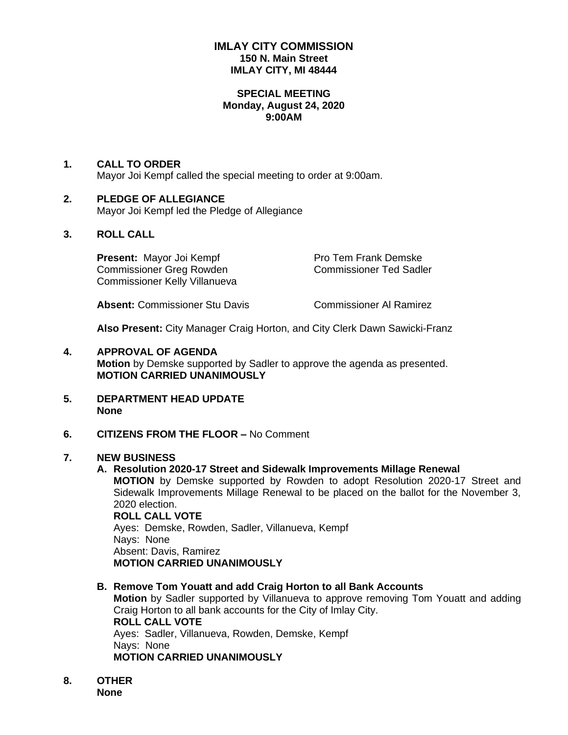### **IMLAY CITY COMMISSION 150 N. Main Street IMLAY CITY, MI 48444**

#### **SPECIAL MEETING Monday, August 24, 2020 9:00AM**

# **1. CALL TO ORDER**

Mayor Joi Kempf called the special meeting to order at 9:00am.

## **2. PLEDGE OF ALLEGIANCE**

Mayor Joi Kempf led the Pledge of Allegiance

## **3. ROLL CALL**

**Present:** Mayor Joi Kempf Pro Tem Frank Demske Commissioner Greg Rowden Commissioner Ted Sadler Commissioner Kelly Villanueva

**Absent:** Commissioner Stu Davis Commissioner Al Ramirez

**Also Present:** City Manager Craig Horton, and City Clerk Dawn Sawicki-Franz

- **4. APPROVAL OF AGENDA Motion** by Demske supported by Sadler to approve the agenda as presented. **MOTION CARRIED UNANIMOUSLY**
- **5. DEPARTMENT HEAD UPDATE None**
- **6. CITIZENS FROM THE FLOOR –** No Comment

## **7. NEW BUSINESS**

#### **A. Resolution 2020-17 Street and Sidewalk Improvements Millage Renewal**

**MOTION** by Demske supported by Rowden to adopt Resolution 2020-17 Street and Sidewalk Improvements Millage Renewal to be placed on the ballot for the November 3, 2020 election.

**ROLL CALL VOTE** Ayes: Demske, Rowden, Sadler, Villanueva, Kempf Nays: None Absent: Davis, Ramirez **MOTION CARRIED UNANIMOUSLY**

**B. Remove Tom Youatt and add Craig Horton to all Bank Accounts**

**Motion** by Sadler supported by Villanueva to approve removing Tom Youatt and adding Craig Horton to all bank accounts for the City of Imlay City. **ROLL CALL VOTE** Ayes: Sadler, Villanueva, Rowden, Demske, Kempf Nays: None **MOTION CARRIED UNANIMOUSLY**

**8. OTHER None**